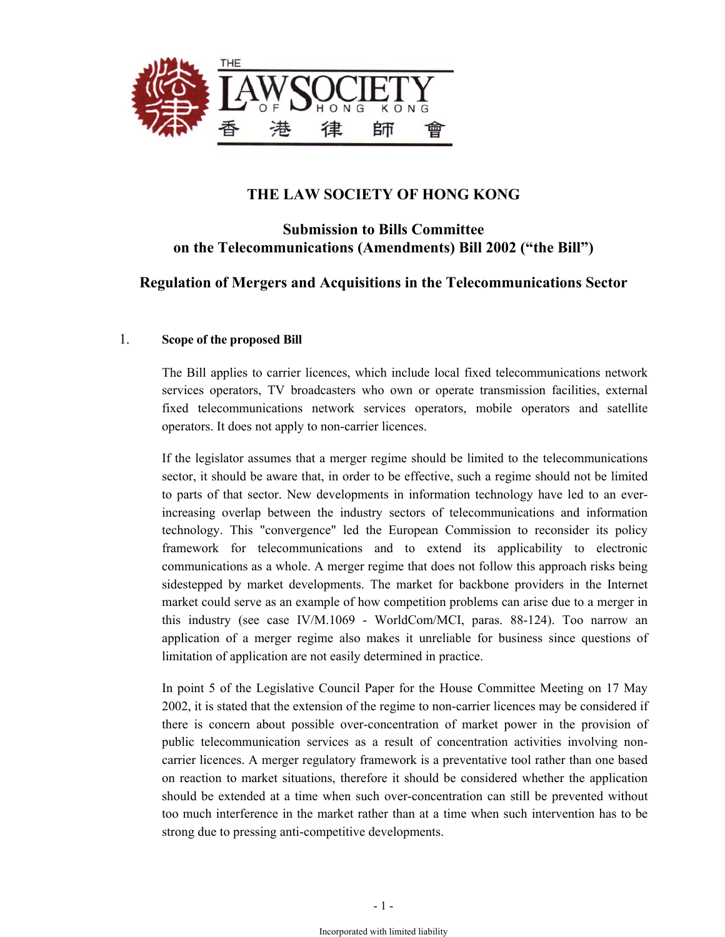

# **THE LAW SOCIETY OF HONG KONG**

### **Submission to Bills Committee on the Telecommunications (Amendments) Bill 2002 ("the Bill")**

# **Regulation of Mergers and Acquisitions in the Telecommunications Sector**

### 1. **Scope of the proposed Bill**

The Bill applies to carrier licences, which include local fixed telecommunications network services operators, TV broadcasters who own or operate transmission facilities, external fixed telecommunications network services operators, mobile operators and satellite operators. It does not apply to non-carrier licences.

If the legislator assumes that a merger regime should be limited to the telecommunications sector, it should be aware that, in order to be effective, such a regime should not be limited to parts of that sector. New developments in information technology have led to an everincreasing overlap between the industry sectors of telecommunications and information technology. This "convergence" led the European Commission to reconsider its policy framework for telecommunications and to extend its applicability to electronic communications as a whole. A merger regime that does not follow this approach risks being sidestepped by market developments. The market for backbone providers in the Internet market could serve as an example of how competition problems can arise due to a merger in this industry (see case IV/M.1069 - WorldCom/MCI, paras. 88-124). Too narrow an application of a merger regime also makes it unreliable for business since questions of limitation of application are not easily determined in practice.

In point 5 of the Legislative Council Paper for the House Committee Meeting on 17 May 2002, it is stated that the extension of the regime to non-carrier licences may be considered if there is concern about possible over-concentration of market power in the provision of public telecommunication services as a result of concentration activities involving noncarrier licences. A merger regulatory framework is a preventative tool rather than one based on reaction to market situations, therefore it should be considered whether the application should be extended at a time when such over-concentration can still be prevented without too much interference in the market rather than at a time when such intervention has to be strong due to pressing anti-competitive developments.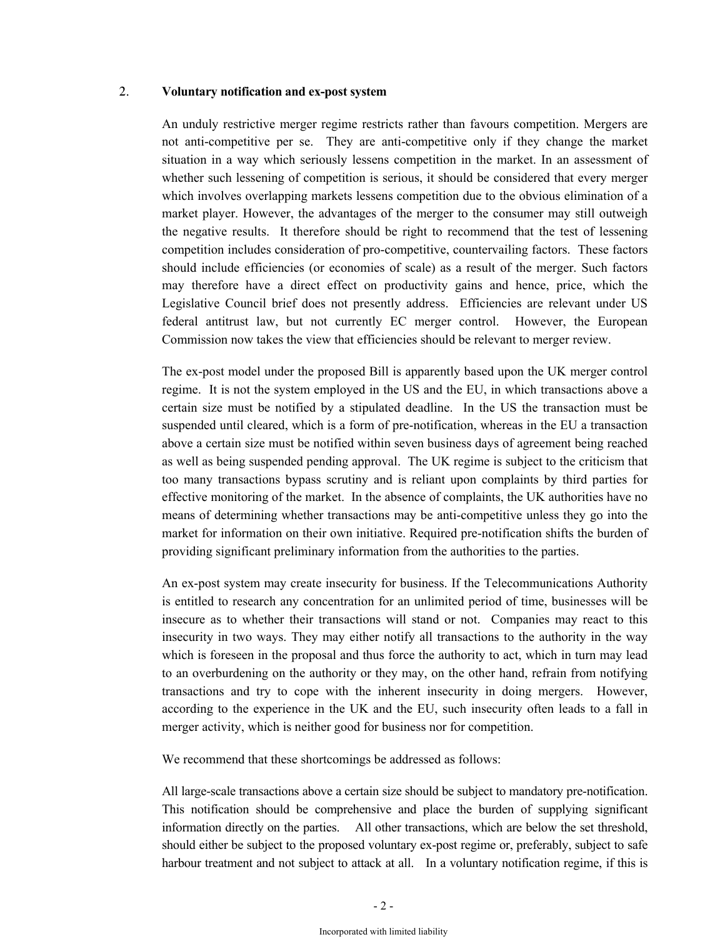### 2. **Voluntary notification and ex-post system**

An unduly restrictive merger regime restricts rather than favours competition. Mergers are not anti-competitive per se. They are anti-competitive only if they change the market situation in a way which seriously lessens competition in the market. In an assessment of whether such lessening of competition is serious, it should be considered that every merger which involves overlapping markets lessens competition due to the obvious elimination of a market player. However, the advantages of the merger to the consumer may still outweigh the negative results. It therefore should be right to recommend that the test of lessening competition includes consideration of pro-competitive, countervailing factors. These factors should include efficiencies (or economies of scale) as a result of the merger. Such factors may therefore have a direct effect on productivity gains and hence, price, which the Legislative Council brief does not presently address. Efficiencies are relevant under US federal antitrust law, but not currently EC merger control. However, the European Commission now takes the view that efficiencies should be relevant to merger review.

The ex-post model under the proposed Bill is apparently based upon the UK merger control regime. It is not the system employed in the US and the EU, in which transactions above a certain size must be notified by a stipulated deadline. In the US the transaction must be suspended until cleared, which is a form of pre-notification, whereas in the EU a transaction above a certain size must be notified within seven business days of agreement being reached as well as being suspended pending approval. The UK regime is subject to the criticism that too many transactions bypass scrutiny and is reliant upon complaints by third parties for effective monitoring of the market. In the absence of complaints, the UK authorities have no means of determining whether transactions may be anti-competitive unless they go into the market for information on their own initiative. Required pre-notification shifts the burden of providing significant preliminary information from the authorities to the parties.

An ex-post system may create insecurity for business. If the Telecommunications Authority is entitled to research any concentration for an unlimited period of time, businesses will be insecure as to whether their transactions will stand or not. Companies may react to this insecurity in two ways. They may either notify all transactions to the authority in the way which is foreseen in the proposal and thus force the authority to act, which in turn may lead to an overburdening on the authority or they may, on the other hand, refrain from notifying transactions and try to cope with the inherent insecurity in doing mergers. However, according to the experience in the UK and the EU, such insecurity often leads to a fall in merger activity, which is neither good for business nor for competition.

We recommend that these shortcomings be addressed as follows:

All large-scale transactions above a certain size should be subject to mandatory pre-notification. This notification should be comprehensive and place the burden of supplying significant information directly on the parties. All other transactions, which are below the set threshold, should either be subject to the proposed voluntary ex-post regime or, preferably, subject to safe harbour treatment and not subject to attack at all. In a voluntary notification regime, if this is